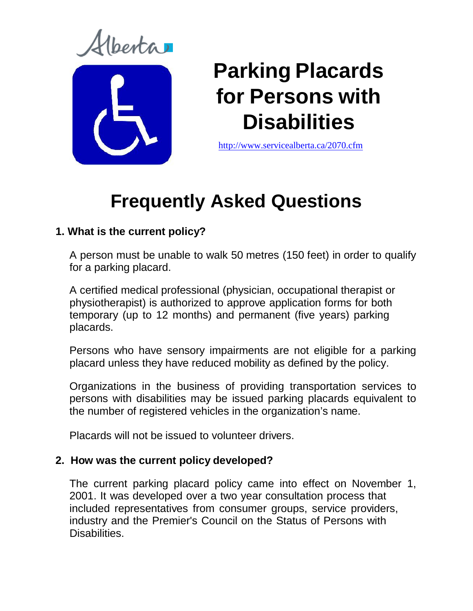renta



# **Parking Placards for Persons with Disabilities**

<http://www.servicealberta.ca/2070.cfm>

# **Frequently Asked Questions**

# **1. What is the current policy?**

A person must be unable to walk 50 metres (150 feet) in order to qualify for a parking placard.

A certified medical professional (physician, occupational therapist or physiotherapist) is authorized to approve application forms for both temporary (up to 12 months) and permanent (five years) parking placards.

Persons who have sensory impairments are not eligible for a parking placard unless they have reduced mobility as defined by the policy.

Organizations in the business of providing transportation services to persons with disabilities may be issued parking placards equivalent to the number of registered vehicles in the organization's name.

Placards will not be issued to volunteer drivers.

# **2. How was the current policy developed?**

The current parking placard policy came into effect on November 1, 2001. It was developed over a two year consultation process that included representatives from consumer groups, service providers, industry and the Premier's Council on the Status of Persons with Disabilities.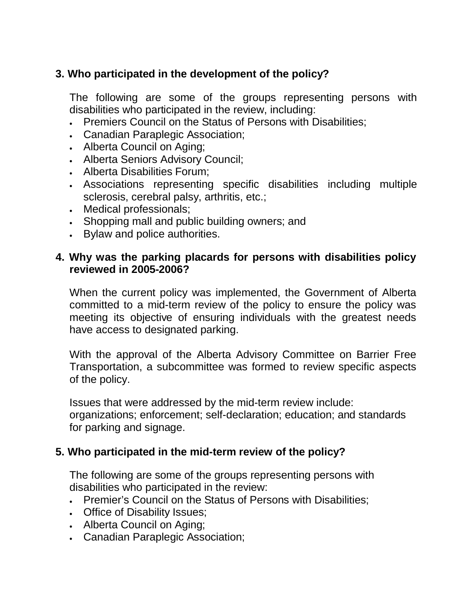# **3. Who participated in the development of the policy?**

The following are some of the groups representing persons with disabilities who participated in the review, including:

- Premiers Council on the Status of Persons with Disabilities;
- Canadian Paraplegic Association;
- Alberta Council on Aging;
- Alberta Seniors Advisory Council;
- Alberta Disabilities Forum;
- Associations representing specific disabilities including multiple sclerosis, cerebral palsy, arthritis, etc.;
- Medical professionals;
- Shopping mall and public building owners; and
- Bylaw and police authorities.

#### **4. Why was the parking placards for persons with disabilities policy reviewed in 2005-2006?**

When the current policy was implemented, the Government of Alberta committed to a mid-term review of the policy to ensure the policy was meeting its objective of ensuring individuals with the greatest needs have access to designated parking.

With the approval of the Alberta Advisory Committee on Barrier Free Transportation, a subcommittee was formed to review specific aspects of the policy.

Issues that were addressed by the mid-term review include: organizations; enforcement; self-declaration; education; and standards for parking and signage.

# **5. Who participated in the mid-term review of the policy?**

The following are some of the groups representing persons with disabilities who participated in the review:

- Premier's Council on the Status of Persons with Disabilities;
- Office of Disability Issues;
- Alberta Council on Aging;
- Canadian Paraplegic Association;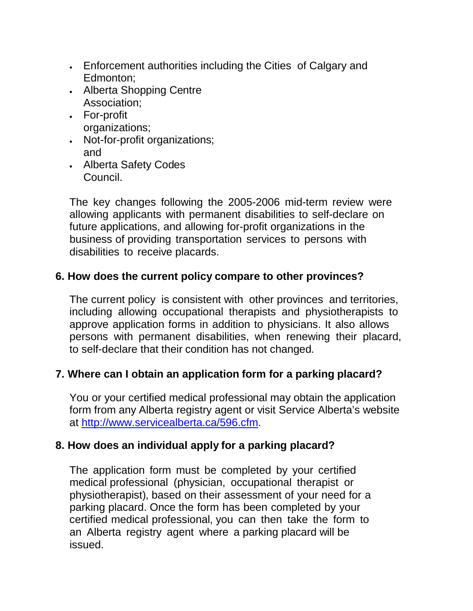- Enforcement authorities including the Cities of Calgary and Edmonton;
- Alberta Shopping Centre Association;
- For-profit organizations;
- Not-for-profit organizations; and
- Alberta Safety Codes Council.

The key changes following the 2005-2006 mid-term review were allowing applicants with permanent disabilities to self-declare on future applications, and allowing for-profit organizations in the business of providing transportation services to persons with disabilities to receive placards.

# **6. How does the current policy compare to other provinces?**

The current policy is consistent with other provinces and territories, including allowing occupational therapists and physiotherapists to approve application forms in addition to physicians. It also allows persons with permanent disabilities, when renewing their placard, to self-declare that their condition has not changed.

# **7. Where can I obtain an application form for a parking placard?**

You or your certified medical professional may obtain the application form from any Alberta registry agent or visit Service Alberta's website at [http://www.servicealberta.ca/596.cfm.](http://www.servicealberta.ca/596.cfm)

#### **8. How does an individual apply for a parking placard?**

The application form must be completed by your certified medical professional (physician, occupational therapist or physiotherapist), based on their assessment of your need for a parking placard. Once the form has been completed by your certified medical professional, you can then take the form to an Alberta registry agent where a parking placard will be issued.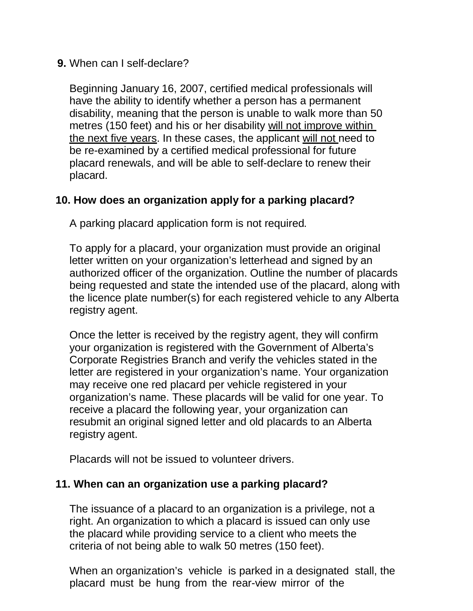#### **9.** When can I self-declare?

Beginning January 16, 2007, certified medical professionals will have the ability to identify whether a person has a permanent disability, meaning that the person is unable to walk more than 50 metres (150 feet) and his or her disability will not improve within the next five years. In these cases, the applicant will not need to be re-examined by a certified medical professional for future placard renewals, and will be able to self-declare to renew their placard.

# **10. How does an organization apply for a parking placard?**

A parking placard application form is not required.

To apply for a placard, your organization must provide an original letter written on your organization's letterhead and signed by an authorized officer of the organization. Outline the number of placards being requested and state the intended use of the placard, along with the licence plate number(s) for each registered vehicle to any Alberta registry agent.

Once the letter is received by the registry agent, they will confirm your organization is registered with the Government of Alberta's Corporate Registries Branch and verify the vehicles stated in the letter are registered in your organization's name. Your organization may receive one red placard per vehicle registered in your organization's name. These placards will be valid for one year. To receive a placard the following year, your organization can resubmit an original signed letter and old placards to an Alberta registry agent.

Placards will not be issued to volunteer drivers.

#### **11. When can an organization use a parking placard?**

The issuance of a placard to an organization is a privilege, not a right. An organization to which a placard is issued can only use the placard while providing service to a client who meets the criteria of not being able to walk 50 metres (150 feet).

When an organization's vehicle is parked in a designated stall, the placard must be hung from the rear-view mirror of the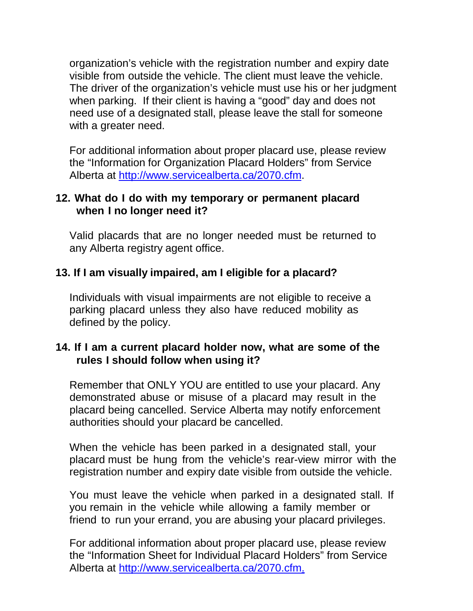organization's vehicle with the registration number and expiry date visible from outside the vehicle. The client must leave the vehicle. The driver of the organization's vehicle must use his or her judgment when parking. If their client is having a "good" day and does not need use of a designated stall, please leave the stall for someone with a greater need.

For additional information about proper placard use, please review the "Information for Organization Placard Holders" from Service Alberta at [http://www.servicealberta.ca/2070.cfm.](http://www.servicealberta.ca/2070.cfm)

#### **12. What do I do with my temporary or permanent placard when I no longer need it?**

Valid placards that are no longer needed must be returned to any Alberta registry agent office.

#### **13. If I am visually impaired, am I eligible for a placard?**

Individuals with visual impairments are not eligible to receive a parking placard unless they also have reduced mobility as defined by the policy.

#### **14. If I am a current placard holder now, what are some of the rules I should follow when using it?**

Remember that ONLY YOU are entitled to use your placard. Any demonstrated abuse or misuse of a placard may result in the placard being cancelled. Service Alberta may notify enforcement authorities should your placard be cancelled.

When the vehicle has been parked in a designated stall, your placard must be hung from the vehicle's rear-view mirror with the registration number and expiry date visible from outside the vehicle.

You must leave the vehicle when parked in a designated stall. If you remain in the vehicle while allowing a family member or friend to run your errand, you are abusing your placard privileges.

For additional information about proper placard use, please review the "Information Sheet for Individual Placard Holders" from Service Alberta at [http://www.servicealberta.ca/2070.cfm.](http://www.servicealberta.ca/2070.cfm)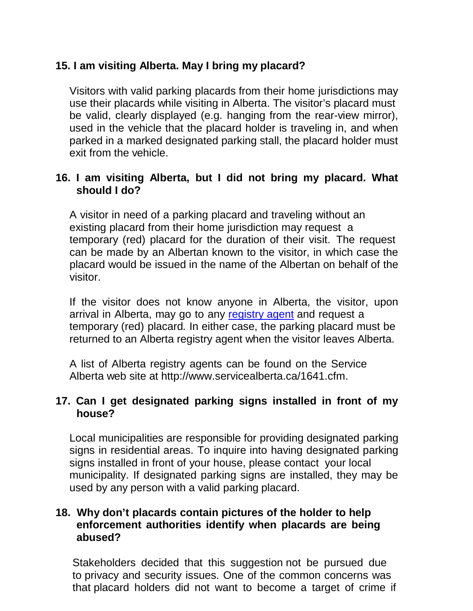# **15. I am visiting Alberta. May I bring my placard?**

Visitors with valid parking placards from their home jurisdictions may use their placards while visiting in Alberta. The visitor's placard must be valid, clearly displayed (e.g. hanging from the rear-view mirror), used in the vehicle that the placard holder is traveling in, and when parked in a marked designated parking stall, the placard holder must exit from the vehicle.

#### **16. I am visiting Alberta, but I did not bring my placard. What should I do?**

A visitor in need of a parking placard and traveling without an existing placard from their home jurisdiction may request a temporary (red) placard for the duration of their visit. The request can be made by an Albertan known to the visitor, in which case the placard would be issued in the name of the Albertan on behalf of the visitor.

If the visitor does not know anyone in Alberta, the visitor, upon arrival in Alberta, may go to any [registry agent](http://www.servicealberta.ca/1641.cfm) and request a temporary (red) placard. In either case, the parking placard must be returned to an Alberta registry agent when the visitor leaves Alberta.

A list of Alberta registry agents can be found on the Service Alberta web site at http://www.servicealberta.ca/1641.cfm.

#### **17. Can I get designated parking signs installed in front of my house?**

Local municipalities are responsible for providing designated parking signs in residential areas. To inquire into having designated parking signs installed in front of your house, please contact your local municipality. If designated parking signs are installed, they may be used by any person with a valid parking placard.

#### **18. Why don't placards contain pictures of the holder to help enforcement authorities identify when placards are being abused?**

Stakeholders decided that this suggestion not be pursued due to privacy and security issues. One of the common concerns was that placard holders did not want to become a target of crime if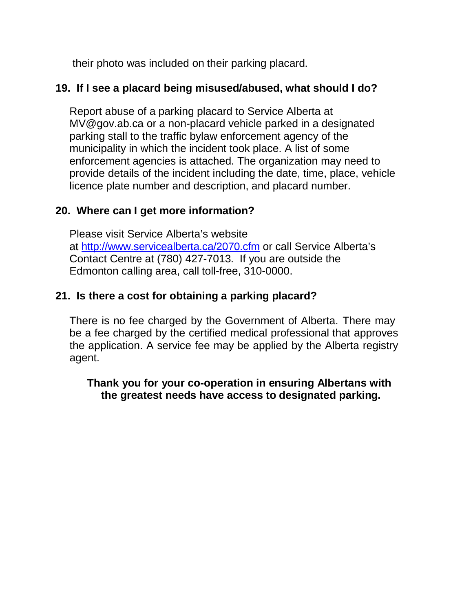their photo was included on their parking placard.

# **19. If I see a placard being misused/abused, what should I do?**

Report abuse of a parking placard to Service Alberta at MV@gov.ab.ca or a non-placard vehicle parked in a designated parking stall to the traffic bylaw enforcement agency of the municipality in which the incident took place. A list of some enforcement agencies is attached. The organization may need to provide details of the incident including the date, time, place, vehicle licence plate number and description, and placard number.

# **20. Where can I get more information?**

Please visit Service Alberta's website at <http://www.servicealberta.ca/2070.cfm> or call Service Alberta's Contact Centre at (780) 427-7013. If you are outside the Edmonton calling area, call toll-free, 310-0000.

# **21. Is there a cost for obtaining a parking placard?**

There is no fee charged by the Government of Alberta. There may be a fee charged by the certified medical professional that approves the application. A service fee may be applied by the Alberta registry agent.

# **Thank you for your co-operation in ensuring Albertans with the greatest needs have access to designated parking.**